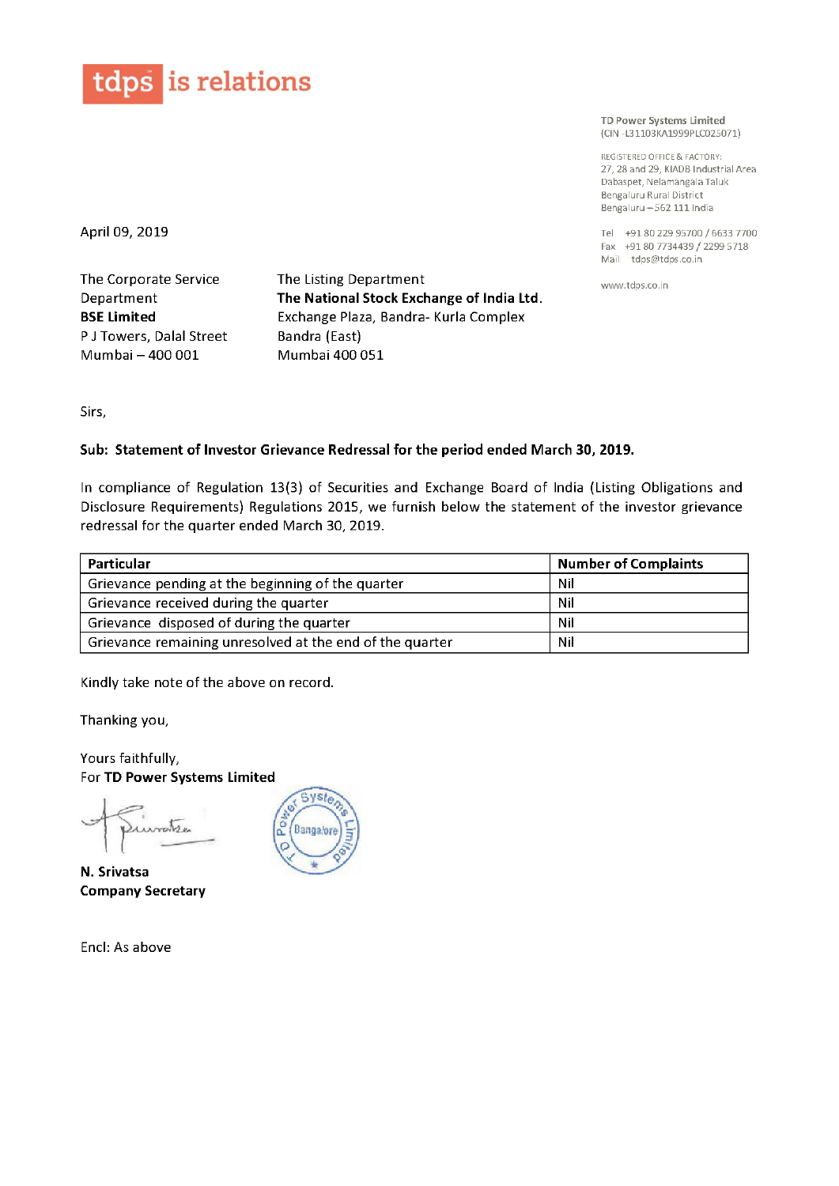

TD Power Systems Limited (CIN 7L31103KA1999PLC025071)

REGlSTERED OFFlCE & FACTORV 27, 28 and 29, KIADB Industrial Area Dabaspet, NelamangalaTaluk Bengaluru Rural District Bengaluru —562 111 India

Tel +91 80 229 <sup>95700</sup> / <sup>6633</sup> <sup>7700</sup> Fax +91 <sup>80</sup> <sup>7734439</sup> / <sup>2299</sup> <sup>5718</sup> Mail tdps@tdps.c0.in

www.tdps.c0.in

April 09, 2019

The Corporate Service Department BSE Limited <sup>P</sup> <sup>J</sup> Towers, Dalal Street Mumbai — 400 001

The Listing Department The National Stock Exchange of India Ltd. Exchange Plaza, Bandra- Kurla Complex Bandra (East) Mumbai 400 051

Sirs,

## Sub: Statement of Investor Grievance Redressal for the period ended March 30, 2019.

In compliance of Regulation 13(3) of Securities and Exchange Board of India (Listing Obligations and Disclosure Requirements) Regulations 2015, we furnish below the statement of the investor grievance redressal for the quarter ended March 30,2019.

| Particular                                               | <b>Number of Complaints</b> |
|----------------------------------------------------------|-----------------------------|
| Grievance pending at the beginning of the quarter        | Nil                         |
| Grievance received during the quarter                    | Nil                         |
| Grievance disposed of during the quarter                 | Nil                         |
| Grievance remaining unresolved at the end of the quarter | Nil                         |

Kindly take note of the above on record.

Thanking you,

Yours faithfully, For TD Power Systems Limited

 $\geq$  $\leftarrow$  .  $\mathfrak{c}$  $\sqrt{2e}$ 

N. Srivatsa Company Secretary

Encl: As above